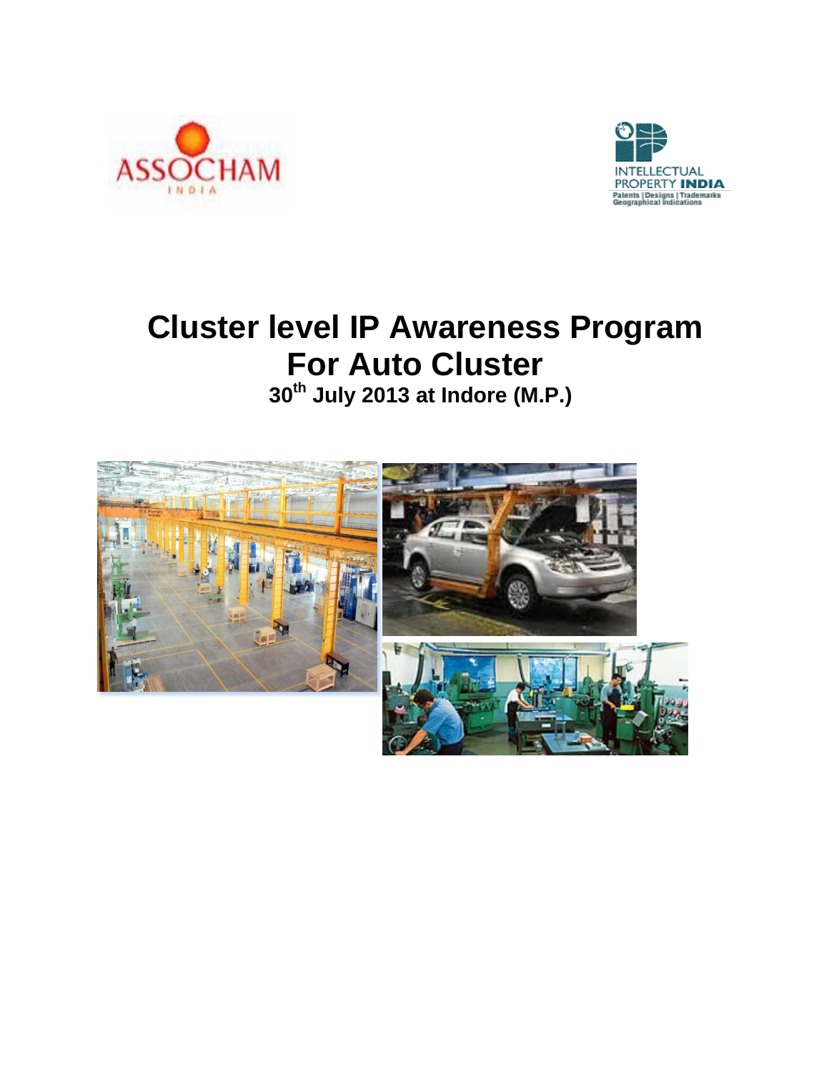



# **Cluster level IP Awareness Program For Auto Cluster <sup>30</sup>th July 2013 at Indore (M.P.)**

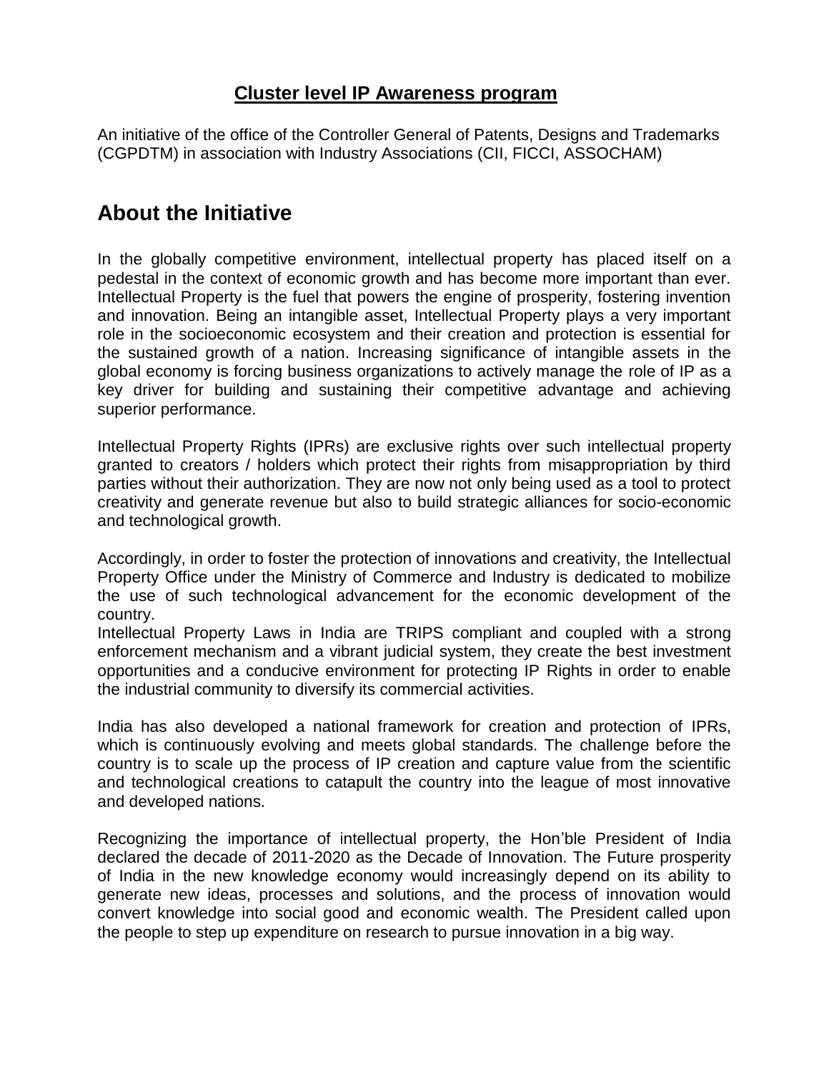## **Cluster level IP Awareness program**

An initiative of the office of the Controller General of Patents, Designs and Trademarks (CGPDTM) in association with Industry Associations (CII, FICCI, ASSOCHAM)

# **About the Initiative**

In the globally competitive environment, intellectual property has placed itself on a pedestal in the context of economic growth and has become more important than ever. Intellectual Property is the fuel that powers the engine of prosperity, fostering invention and innovation. Being an intangible asset, Intellectual Property plays a very important role in the socioeconomic ecosystem and their creation and protection is essential for the sustained growth of a nation. Increasing significance of intangible assets in the global economy is forcing business organizations to actively manage the role of IP as a key driver for building and sustaining their competitive advantage and achieving superior performance.

Intellectual Property Rights (IPRs) are exclusive rights over such intellectual property granted to creators / holders which protect their rights from misappropriation by third parties without their authorization. They are now not only being used as a tool to protect creativity and generate revenue but also to build strategic alliances for socio-economic and technological growth.

Accordingly, in order to foster the protection of innovations and creativity, the Intellectual Property Office under the Ministry of Commerce and Industry is dedicated to mobilize the use of such technological advancement for the economic development of the country.

Intellectual Property Laws in India are TRIPS compliant and coupled with a strong enforcement mechanism and a vibrant judicial system, they create the best investment opportunities and a conducive environment for protecting IP Rights in order to enable the industrial community to diversify its commercial activities.

India has also developed a national framework for creation and protection of IPRs, which is continuously evolving and meets global standards. The challenge before the country is to scale up the process of IP creation and capture value from the scientific and technological creations to catapult the country into the league of most innovative and developed nations.

Recognizing the importance of intellectual property, the Hon'ble President of India declared the decade of 2011-2020 as the Decade of Innovation. The Future prosperity of India in the new knowledge economy would increasingly depend on its ability to generate new ideas, processes and solutions, and the process of innovation would convert knowledge into social good and economic wealth. The President called upon the people to step up expenditure on research to pursue innovation in a big way.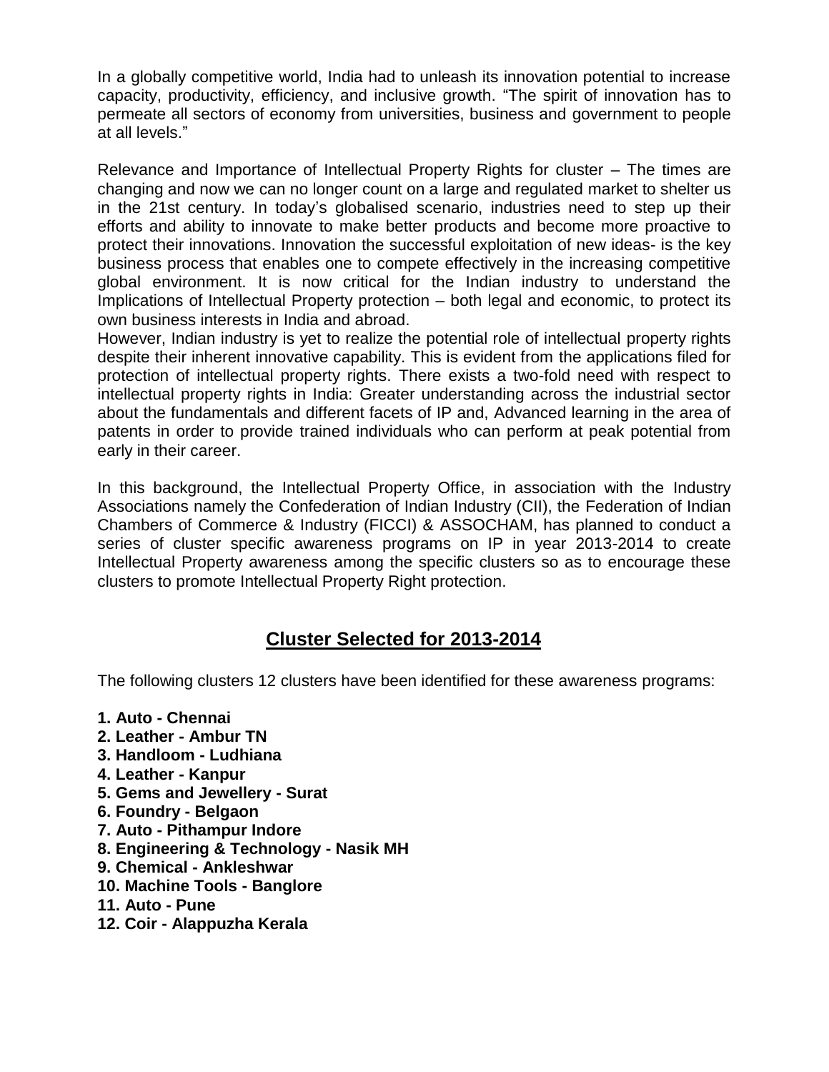In a globally competitive world, India had to unleash its innovation potential to increase capacity, productivity, efficiency, and inclusive growth. "The spirit of innovation has to permeate all sectors of economy from universities, business and government to people at all levels."

Relevance and Importance of Intellectual Property Rights for cluster – The times are changing and now we can no longer count on a large and regulated market to shelter us in the 21st century. In today's globalised scenario, industries need to step up their efforts and ability to innovate to make better products and become more proactive to protect their innovations. Innovation the successful exploitation of new ideas- is the key business process that enables one to compete effectively in the increasing competitive global environment. It is now critical for the Indian industry to understand the Implications of Intellectual Property protection – both legal and economic, to protect its own business interests in India and abroad.

However, Indian industry is yet to realize the potential role of intellectual property rights despite their inherent innovative capability. This is evident from the applications filed for protection of intellectual property rights. There exists a two-fold need with respect to intellectual property rights in India: Greater understanding across the industrial sector about the fundamentals and different facets of IP and, Advanced learning in the area of patents in order to provide trained individuals who can perform at peak potential from early in their career.

In this background, the Intellectual Property Office, in association with the Industry Associations namely the Confederation of Indian Industry (CII), the Federation of Indian Chambers of Commerce & Industry (FICCI) & ASSOCHAM, has planned to conduct a series of cluster specific awareness programs on IP in year 2013-2014 to create Intellectual Property awareness among the specific clusters so as to encourage these clusters to promote Intellectual Property Right protection.

## **Cluster Selected for 2013-2014**

The following clusters 12 clusters have been identified for these awareness programs:

- **1. Auto - Chennai**
- **2. Leather - Ambur TN**
- **3. Handloom - Ludhiana**
- **4. Leather - Kanpur**
- **5. Gems and Jewellery - Surat**
- **6. Foundry - Belgaon**
- **7. Auto - Pithampur Indore**
- **8. Engineering & Technology - Nasik MH**
- **9. Chemical - Ankleshwar**
- **10. Machine Tools - Banglore**
- **11. Auto - Pune**
- **12. Coir - Alappuzha Kerala**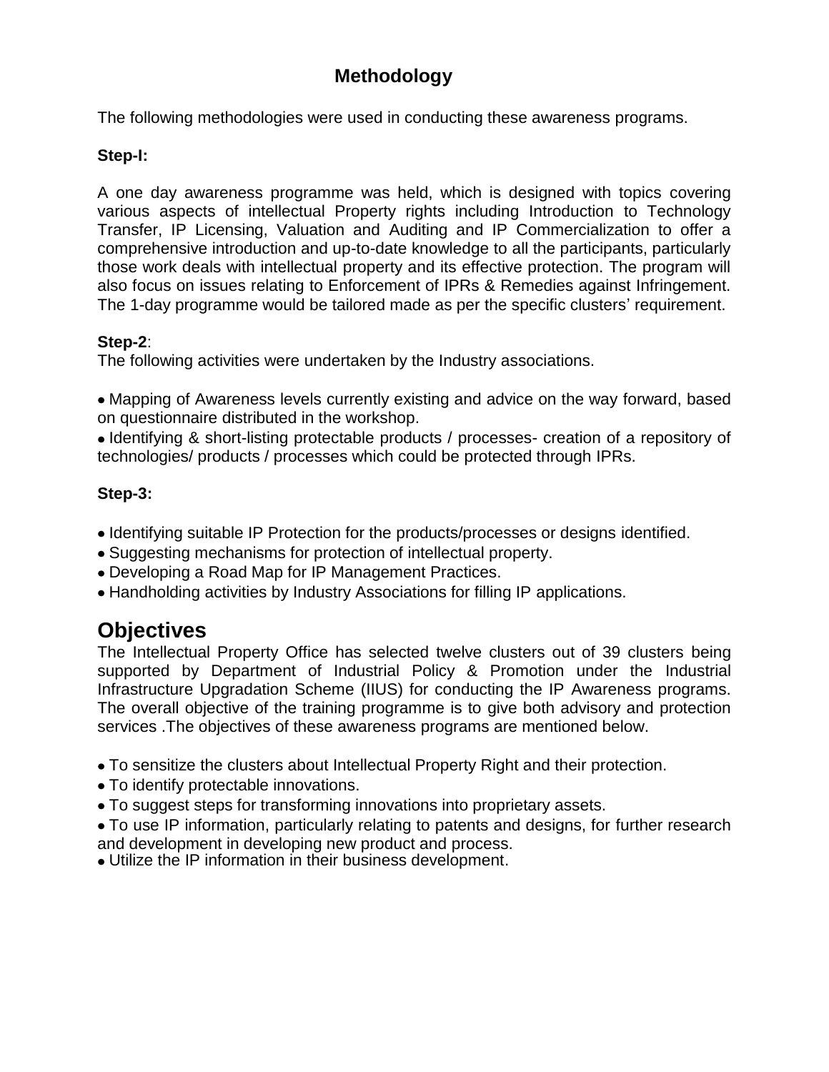## **Methodology**

The following methodologies were used in conducting these awareness programs.

## **Step-I:**

A one day awareness programme was held, which is designed with topics covering various aspects of intellectual Property rights including Introduction to Technology Transfer, IP Licensing, Valuation and Auditing and IP Commercialization to offer a comprehensive introduction and up-to-date knowledge to all the participants, particularly those work deals with intellectual property and its effective protection. The program will also focus on issues relating to Enforcement of IPRs & Remedies against Infringement. The 1-day programme would be tailored made as per the specific clusters' requirement.

#### **Step-2**:

The following activities were undertaken by the Industry associations.

Mapping of Awareness levels currently existing and advice on the way forward, based on questionnaire distributed in the workshop.

Identifying & short-listing protectable products / processes- creation of a repository of technologies/ products / processes which could be protected through IPRs.

## **Step-3:**

- Identifying suitable IP Protection for the products/processes or designs identified.
- Suggesting mechanisms for protection of intellectual property.
- Developing a Road Map for IP Management Practices.
- Handholding activities by Industry Associations for filling IP applications.

# **Objectives**

The Intellectual Property Office has selected twelve clusters out of 39 clusters being supported by Department of Industrial Policy & Promotion under the Industrial Infrastructure Upgradation Scheme (IIUS) for conducting the IP Awareness programs. The overall objective of the training programme is to give both advisory and protection services .The objectives of these awareness programs are mentioned below.

- To sensitize the clusters about Intellectual Property Right and their protection.
- To identify protectable innovations.
- To suggest steps for transforming innovations into proprietary assets.
- To use IP information, particularly relating to patents and designs, for further research and development in developing new product and process.
- Utilize the IP information in their business development.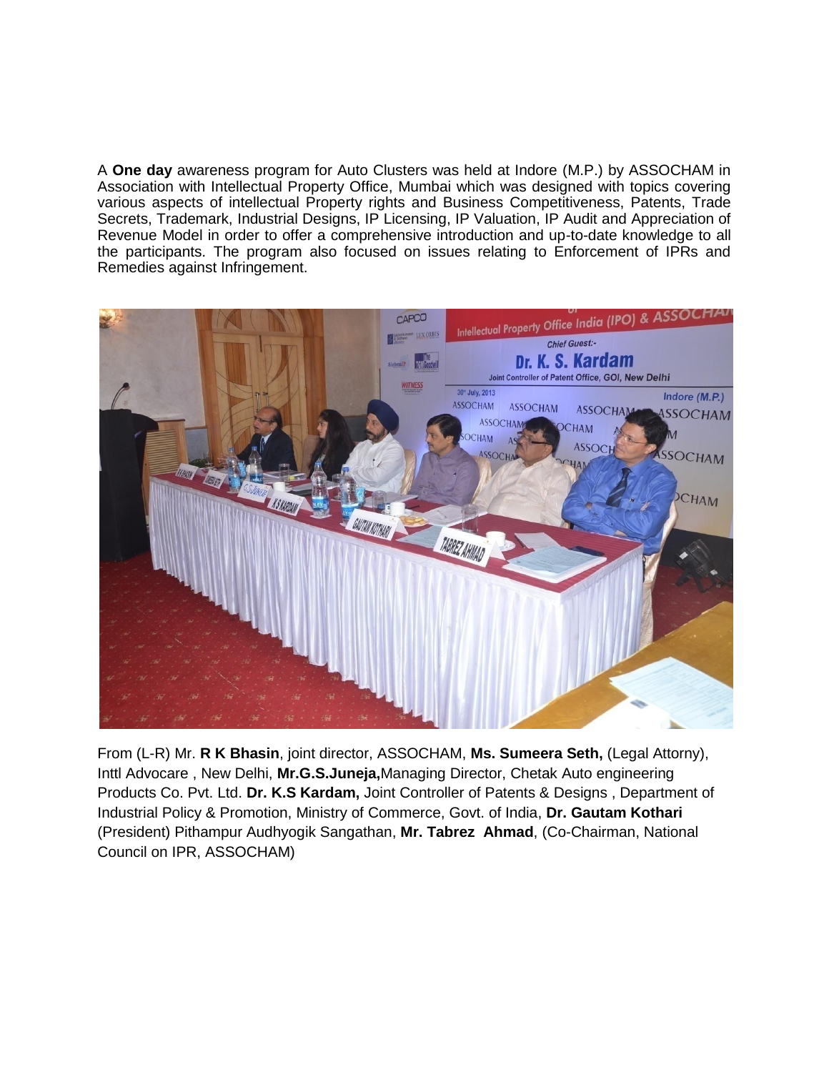A **One day** awareness program for Auto Clusters was held at Indore (M.P.) by ASSOCHAM in Association with Intellectual Property Office, Mumbai which was designed with topics covering various aspects of intellectual Property rights and Business Competitiveness, Patents, Trade Secrets, Trademark, Industrial Designs, IP Licensing, IP Valuation, IP Audit and Appreciation of Revenue Model in order to offer a comprehensive introduction and up-to-date knowledge to all the participants. The program also focused on issues relating to Enforcement of IPRs and Remedies against Infringement.



From (L-R) Mr. **R K Bhasin**, joint director, ASSOCHAM, **Ms. Sumeera Seth,** (Legal Attorny), Inttl Advocare , New Delhi, **Mr.G.S.Juneja,**Managing Director, Chetak Auto engineering Products Co. Pvt. Ltd. **Dr. K.S Kardam,** Joint Controller of Patents & Designs , Department of Industrial Policy & Promotion, Ministry of Commerce, Govt. of India, **Dr. Gautam Kothari** (President) Pithampur Audhyogik Sangathan, **Mr. Tabrez Ahmad**, (Co-Chairman, National Council on IPR, ASSOCHAM)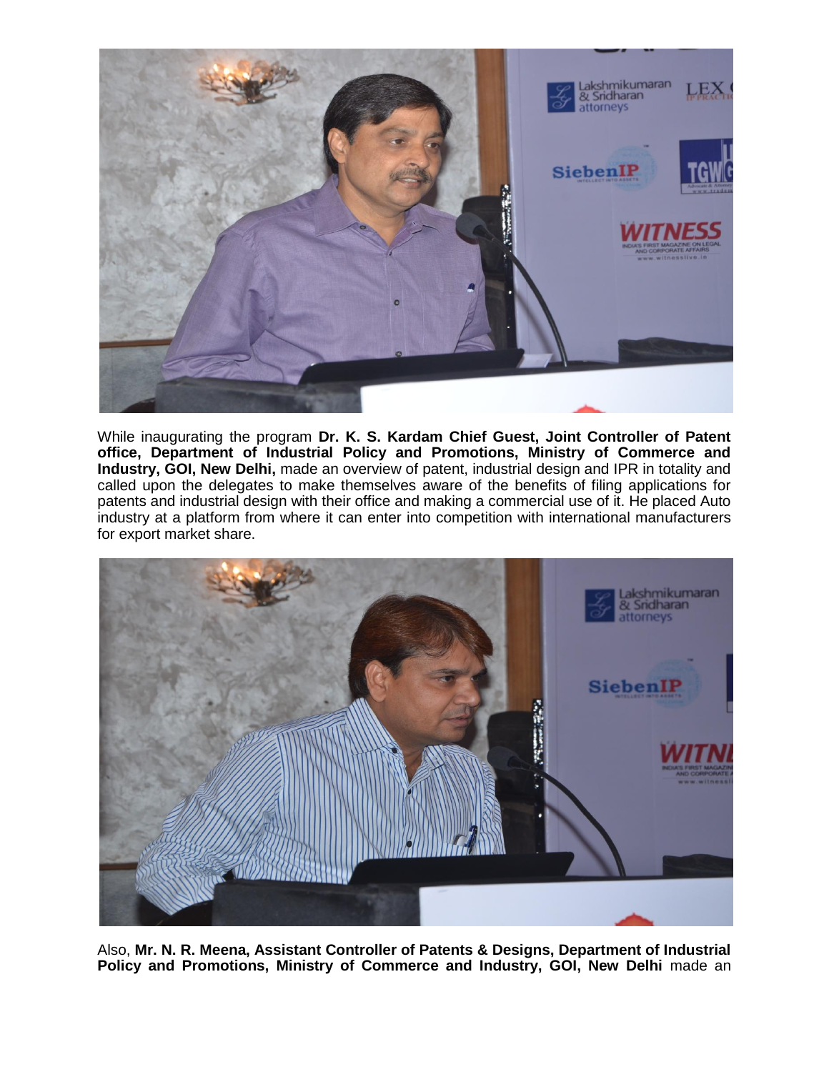

While inaugurating the program **Dr. K. S. Kardam Chief Guest, Joint Controller of Patent office, Department of Industrial Policy and Promotions, Ministry of Commerce and Industry, GOI, New Delhi,** made an overview of patent, industrial design and IPR in totality and called upon the delegates to make themselves aware of the benefits of filing applications for patents and industrial design with their office and making a commercial use of it. He placed Auto industry at a platform from where it can enter into competition with international manufacturers for export market share.



Also, **Mr. N. R. Meena, Assistant Controller of Patents & Designs, Department of Industrial Policy and Promotions, Ministry of Commerce and Industry, GOI, New Delhi** made an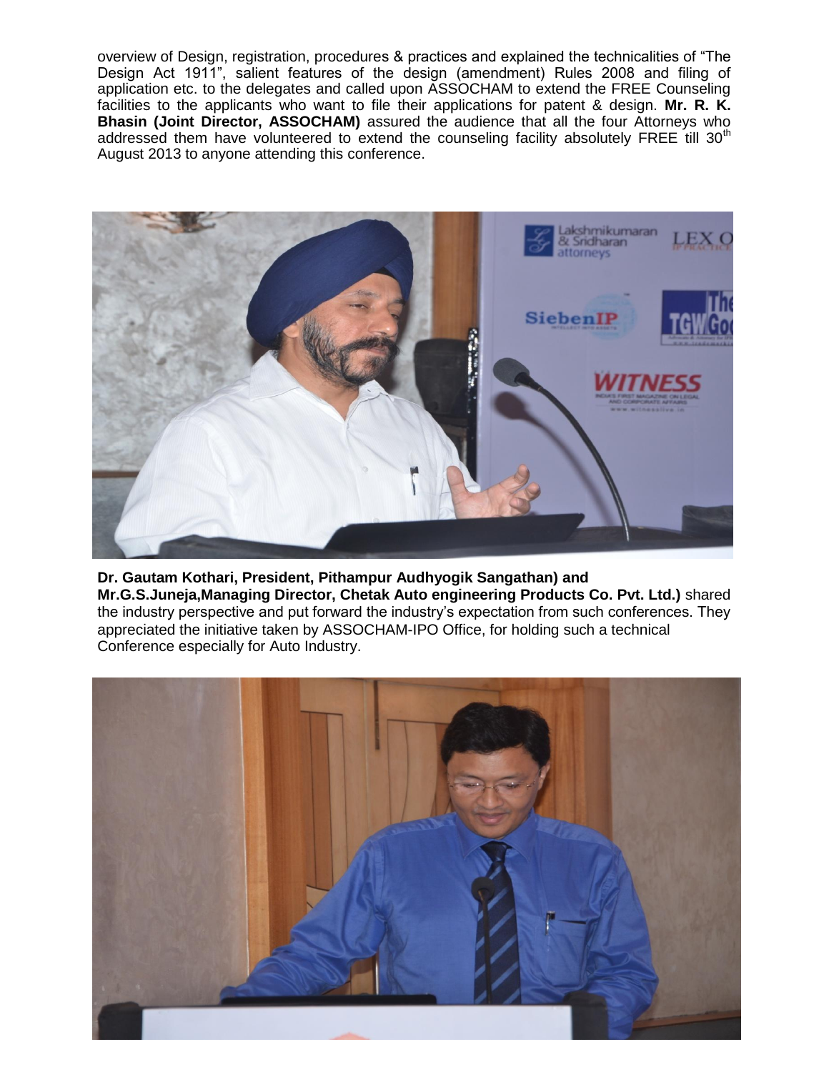overview of Design, registration, procedures & practices and explained the technicalities of "The Design Act 1911", salient features of the design (amendment) Rules 2008 and filing of application etc. to the delegates and called upon ASSOCHAM to extend the FREE Counseling facilities to the applicants who want to file their applications for patent & design. **Mr. R. K. Bhasin (Joint Director, ASSOCHAM)** assured the audience that all the four Attorneys who addressed them have volunteered to extend the counseling facility absolutely FREE till 30<sup>th</sup> August 2013 to anyone attending this conference.



#### **Dr. Gautam Kothari, President, Pithampur Audhyogik Sangathan) and Mr.G.S.Juneja,Managing Director, Chetak Auto engineering Products Co. Pvt. Ltd.)** shared the industry perspective and put forward the industry's expectation from such conferences. They appreciated the initiative taken by ASSOCHAM-IPO Office, for holding such a technical Conference especially for Auto Industry.